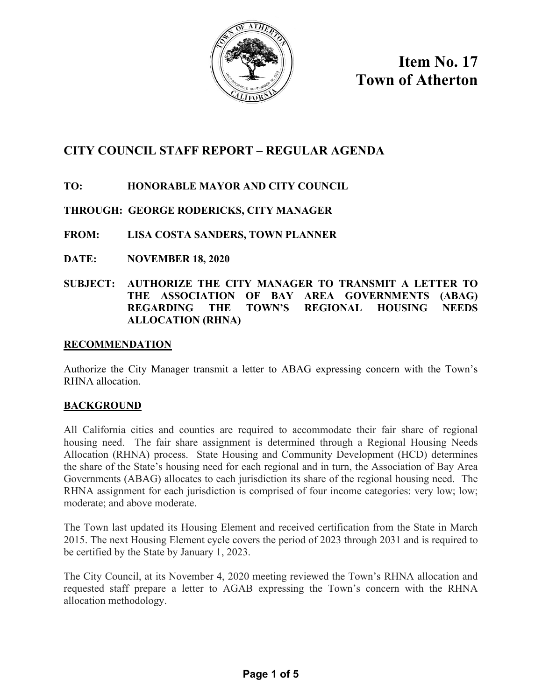

**Item No. 17 Town of Atherton**

# **CITY COUNCIL STAFF REPORT – REGULAR AGENDA**

# **TO: HONORABLE MAYOR AND CITY COUNCIL**

# **THROUGH: GEORGE RODERICKS, CITY MANAGER**

**FROM: LISA COSTA SANDERS, TOWN PLANNER** 

- **DATE: NOVEMBER 18, 2020**
- **SUBJECT: AUTHORIZE THE CITY MANAGER TO TRANSMIT A LETTER TO THE ASSOCIATION OF BAY AREA GOVERNMENTS (ABAG) REGARDING THE TOWN'S REGIONAL HOUSING NEEDS ALLOCATION (RHNA)**

## **RECOMMENDATION**

Authorize the City Manager transmit a letter to ABAG expressing concern with the Town's RHNA allocation.

# **BACKGROUND**

All California cities and counties are required to accommodate their fair share of regional housing need. The fair share assignment is determined through a Regional Housing Needs Allocation (RHNA) process. State Housing and Community Development (HCD) determines the share of the State's housing need for each regional and in turn, the Association of Bay Area Governments (ABAG) allocates to each jurisdiction its share of the regional housing need. The RHNA assignment for each jurisdiction is comprised of four income categories: very low; low; moderate; and above moderate.

The Town last updated its Housing Element and received certification from the State in March 2015. The next Housing Element cycle covers the period of 2023 through 2031 and is required to be certified by the State by January 1, 2023.

The City Council, at its November 4, 2020 meeting reviewed the Town's RHNA allocation and requested staff prepare a letter to AGAB expressing the Town's concern with the RHNA allocation methodology.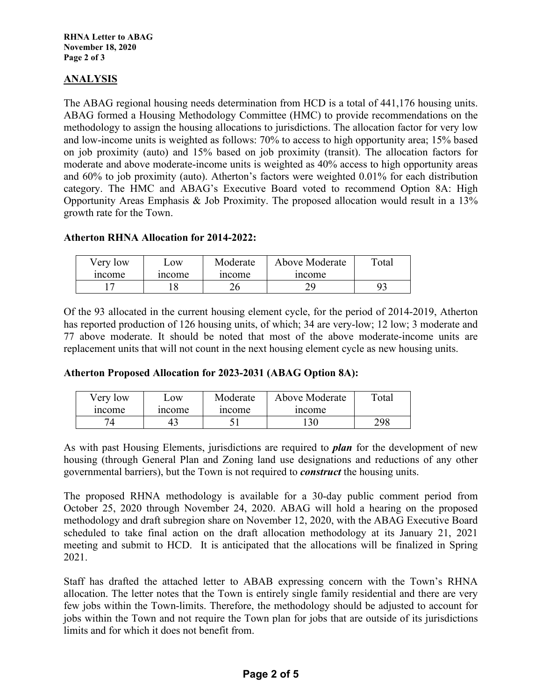## **ANALYSIS**

The ABAG regional housing needs determination from HCD is a total of 441,176 housing units. ABAG formed a Housing Methodology Committee (HMC) to provide recommendations on the methodology to assign the housing allocations to jurisdictions. The allocation factor for very low and low-income units is weighted as follows: 70% to access to high opportunity area; 15% based on job proximity (auto) and 15% based on job proximity (transit). The allocation factors for moderate and above moderate-income units is weighted as 40% access to high opportunity areas and 60% to job proximity (auto). Atherton's factors were weighted 0.01% for each distribution category. The HMC and ABAG's Executive Board voted to recommend Option 8A: High Opportunity Areas Emphasis & Job Proximity. The proposed allocation would result in a 13% growth rate for the Town.

### **Atherton RHNA Allocation for 2014-2022:**

| Very low | $\sim 0W$ | Moderate | Above Moderate | Total |
|----------|-----------|----------|----------------|-------|
| income   | income    | income   | income         |       |
|          |           |          | oc             |       |

Of the 93 allocated in the current housing element cycle, for the period of 2014-2019, Atherton has reported production of 126 housing units, of which; 34 are very-low; 12 low; 3 moderate and 77 above moderate. It should be noted that most of the above moderate-income units are replacement units that will not count in the next housing element cycle as new housing units.

## **Atherton Proposed Allocation for 2023-2031 (ABAG Option 8A):**

| Very low | $\sim$ OW    | Moderate | Above Moderate | $\tau$ <sub>otal</sub> |
|----------|--------------|----------|----------------|------------------------|
| income   | <i>ncome</i> | 1ncome   | income         |                        |
|          |              |          | 130            | 298                    |

As with past Housing Elements, jurisdictions are required to *plan* for the development of new housing (through General Plan and Zoning land use designations and reductions of any other governmental barriers), but the Town is not required to *construct* the housing units.

The proposed RHNA methodology is available for a 30-day public comment period from October 25, 2020 through November 24, 2020. ABAG will hold a hearing on the proposed methodology and draft subregion share on November 12, 2020, with the ABAG Executive Board scheduled to take final action on the draft allocation methodology at its January 21, 2021 meeting and submit to HCD. It is anticipated that the allocations will be finalized in Spring 2021.

Staff has drafted the attached letter to ABAB expressing concern with the Town's RHNA allocation. The letter notes that the Town is entirely single family residential and there are very few jobs within the Town-limits. Therefore, the methodology should be adjusted to account for jobs within the Town and not require the Town plan for jobs that are outside of its jurisdictions limits and for which it does not benefit from.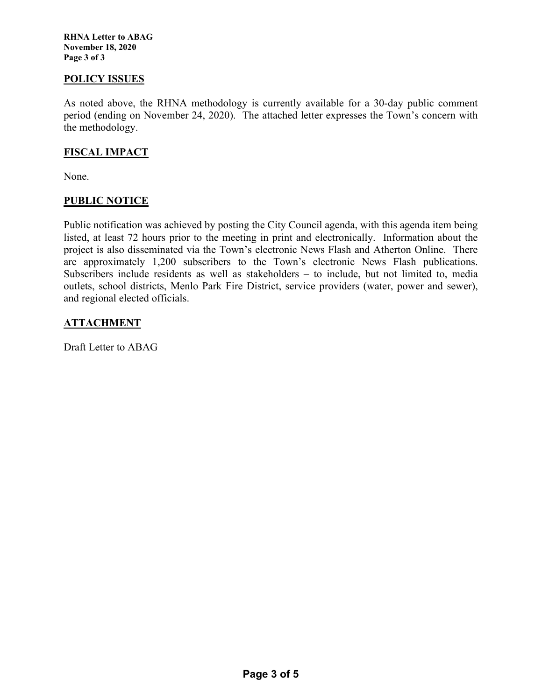**RHNA Letter to ABAG November 18, 2020 Page 3 of 3** 

#### **POLICY ISSUES**

As noted above, the RHNA methodology is currently available for a 30-day public comment period (ending on November 24, 2020). The attached letter expresses the Town's concern with the methodology.

### **FISCAL IMPACT**

None.

### **PUBLIC NOTICE**

Public notification was achieved by posting the City Council agenda, with this agenda item being listed, at least 72 hours prior to the meeting in print and electronically. Information about the project is also disseminated via the Town's electronic News Flash and Atherton Online. There are approximately 1,200 subscribers to the Town's electronic News Flash publications. Subscribers include residents as well as stakeholders – to include, but not limited to, media outlets, school districts, Menlo Park Fire District, service providers (water, power and sewer), and regional elected officials.

### **ATTACHMENT**

Draft Letter to ABAG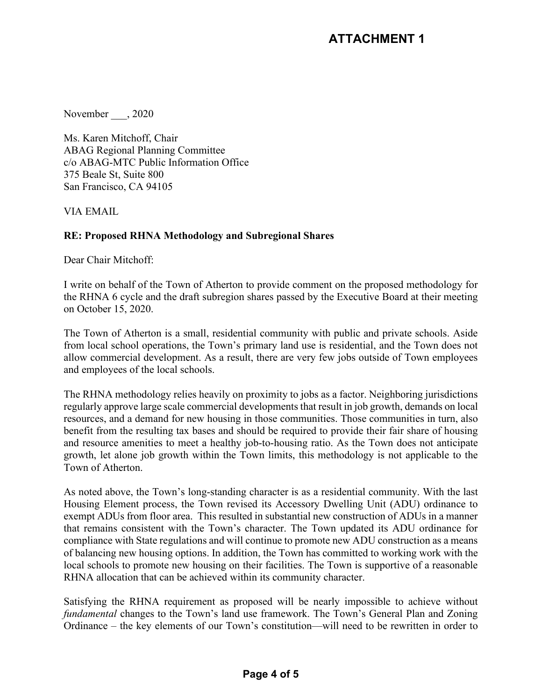November , 2020

Ms. Karen Mitchoff, Chair ABAG Regional Planning Committee c/o ABAG-MTC Public Information Office 375 Beale St, Suite 800 San Francisco, CA 94105

VIA EMAIL

## **RE: Proposed RHNA Methodology and Subregional Shares**

Dear Chair Mitchoff:

I write on behalf of the Town of Atherton to provide comment on the proposed methodology for the RHNA 6 cycle and the draft subregion shares passed by the Executive Board at their meeting on October 15, 2020.

The Town of Atherton is a small, residential community with public and private schools. Aside from local school operations, the Town's primary land use is residential, and the Town does not allow commercial development. As a result, there are very few jobs outside of Town employees and employees of the local schools.

The RHNA methodology relies heavily on proximity to jobs as a factor. Neighboring jurisdictions regularly approve large scale commercial developments that result in job growth, demands on local resources, and a demand for new housing in those communities. Those communities in turn, also benefit from the resulting tax bases and should be required to provide their fair share of housing and resource amenities to meet a healthy job-to-housing ratio. As the Town does not anticipate growth, let alone job growth within the Town limits, this methodology is not applicable to the Town of Atherton.

As noted above, the Town's long-standing character is as a residential community. With the last Housing Element process, the Town revised its Accessory Dwelling Unit (ADU) ordinance to exempt ADUs from floor area. This resulted in substantial new construction of ADUs in a manner that remains consistent with the Town's character. The Town updated its ADU ordinance for compliance with State regulations and will continue to promote new ADU construction as a means of balancing new housing options. In addition, the Town has committed to working work with the local schools to promote new housing on their facilities. The Town is supportive of a reasonable RHNA allocation that can be achieved within its community character.

Satisfying the RHNA requirement as proposed will be nearly impossible to achieve without *fundamental* changes to the Town's land use framework. The Town's General Plan and Zoning Ordinance – the key elements of our Town's constitution—will need to be rewritten in order to